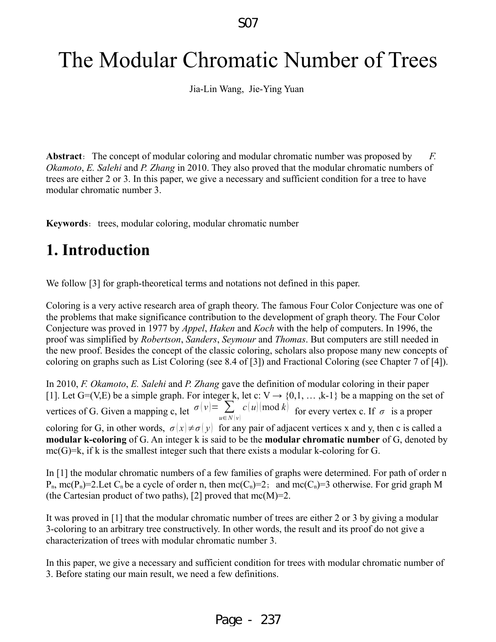# The Modular Chromatic Number of Trees

Jia-Lin Wang, Jie-Ying Yuan

Abstract: The concept of modular coloring and modular chromatic number was proposed by *F. Okamoto*, *E. Salehi* and *P. Zhang* in 2010. They also proved that the modular chromatic numbers of trees are either 2 or 3. In this paper, we give a necessary and sufficient condition for a tree to have modular chromatic number 3.

**Keywords**: trees, modular coloring, modular chromatic number

# **1. Introduction**

We follow [3] for graph-theoretical terms and notations not defined in this paper.

Coloring is a very active research area of graph theory. The famous Four Color Conjecture was one of the problems that make significance contribution to the development of graph theory. The Four Color Conjecture was proved in 1977 by *Appel*, *Haken* and *Koch* with the help of computers. In 1996, the proof was simplified by *Robertson*, *Sanders*, *Seymour* and *Thomas*. But computers are still needed in the new proof. Besides the concept of the classic coloring, scholars also propose many new concepts of coloring on graphs such as List Coloring (see 8.4 of [3]) and Fractional Coloring (see Chapter 7 of [4]).

In 2010, *F. Okamoto*, *E. Salehi* and *P. Zhang* gave the definition of modular coloring in their paper [1]. Let G=(V,E) be a simple graph. For integer k, let c:  $V \rightarrow \{0,1,\dots,k-1\}$  be a mapping on the set of vertices of G. Given a mapping c, let  $\sigma(v) = \sum_{u \in N(v)}$  $c(u)$  (mod *k*) for every vertex c. If  $\sigma$  is a proper coloring for G, in other words,  $\sigma(x) \neq \sigma(y)$  for any pair of adjacent vertices x and y, then c is called a **modular k-coloring** of G. An integer k is said to be the **modular chromatic number** of G, denoted by mc(G)=k, if k is the smallest integer such that there exists a modular k-coloring for G.

In [1] the modular chromatic numbers of a few families of graphs were determined. For path of order n  $P_n$ , mc(P<sub>n</sub>)=2.Let C<sub>n</sub> be a cycle of order n, then mc(C<sub>n</sub>)=2; and mc(C<sub>n</sub>)=3 otherwise. For grid graph M (the Cartesian product of two paths), [2] proved that mc(M)=2.

It was proved in [1] that the modular chromatic number of trees are either 2 or 3 by giving a modular 3-coloring to an arbitrary tree constructively. In other words, the result and its proof do not give a characterization of trees with modular chromatic number 3.

In this paper, we give a necessary and sufficient condition for trees with modular chromatic number of 3. Before stating our main result, we need a few definitions.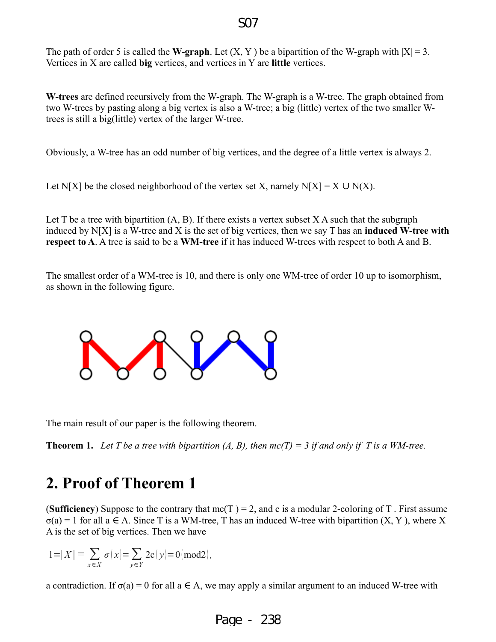### S07

The path of order 5 is called the **W-graph**. Let  $(X, Y)$  be a bipartition of the W-graph with  $|X| = 3$ . Vertices in X are called **big** vertices, and vertices in Y are **little** vertices.

**W-trees** are defined recursively from the W-graph. The W-graph is a W-tree. The graph obtained from two W-trees by pasting along a big vertex is also a W-tree; a big (little) vertex of the two smaller Wtrees is still a big(little) vertex of the larger W-tree.

Obviously, a W-tree has an odd number of big vertices, and the degree of a little vertex is always 2.

Let N[X] be the closed neighborhood of the vertex set X, namely N[X] = X  $\cup$  N(X).

Let T be a tree with bipartition  $(A, B)$ . If there exists a vertex subset X A such that the subgraph induced by N[X] is a W-tree and X is the set of big vertices, then we say T has an **induced W-tree with respect to A**. A tree is said to be a **WM-tree** if it has induced W-trees with respect to both A and B.

The smallest order of a WM-tree is 10, and there is only one WM-tree of order 10 up to isomorphism, as shown in the following figure.



The main result of our paper is the following theorem.

**Theorem 1.** Let T be a tree with bipartition  $(A, B)$ , then  $mc(T) = 3$  if and only if T is a WM-tree.

# **2. Proof of Theorem 1**

**(Sufficiency)** Suppose to the contrary that  $mc(T) = 2$ , and c is a modular 2-coloring of T. First assume  $\sigma(a) = 1$  for all a  $\in$  A. Since T is a WM-tree, T has an induced W-tree with bipartition  $(X, Y)$ , where X A is the set of big vertices. Then we have

$$
1\!=\!\vert X\vert\equiv\sum_{x\in X}\sigma(x)\!\!\vert\!=\!\sum_{y\in Y}2{\bf c}(y)\!\!\vert\!=\!0({\rm mod}2),
$$

a contradiction. If  $\sigma(a) = 0$  for all  $a \in A$ , we may apply a similar argument to an induced W-tree with

Page - 238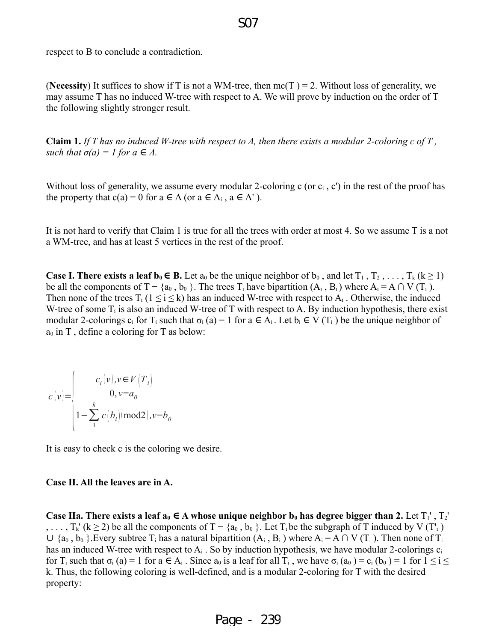# respect to B to conclude a contradiction.

**(Necessity)** It suffices to show if T is not a WM-tree, then  $mc(T) = 2$ . Without loss of generality, we may assume T has no induced W-tree with respect to A. We will prove by induction on the order of T the following slightly stronger result.

**Claim 1.** *If T has no induced W-tree with respect to A, then there exists a modular 2-coloring c of T , such that*  $\sigma(a) = 1$  *for*  $a \in A$ *.* 

Without loss of generality, we assume every modular 2-coloring c (or  $c_i$ , c') in the rest of the proof has the property that c(a) = 0 for a  $\in$  A (or a  $\in$  A<sub>i</sub>, a  $\in$  A').

It is not hard to verify that Claim 1 is true for all the trees with order at most 4. So we assume T is a not a WM-tree, and has at least 5 vertices in the rest of the proof.

**Case I. There exists a leaf**  $\mathbf{b}_0 \in \mathbf{B}$ **. Let**  $a_0$  **be the unique neighbor of**  $b_0$ **, and let**  $T_1, T_2, \ldots, T_k$  **(** $k \ge 1$ **)** be all the components of T – {a<sub>0</sub>, b<sub>0</sub> }. The trees T<sub>i</sub> have bipartition  $(A_i, B_i)$  where  $A_i = A \cap V(T_i)$ . Then none of the trees  $T_i$  ( $1 \le i \le k$ ) has an induced W-tree with respect to  $A_i$ . Otherwise, the induced W-tree of some  $T_i$  is also an induced W-tree of T with respect to A. By induction hypothesis, there exist modular 2-colorings c<sub>i</sub> for T<sub>i</sub> such that  $\sigma_i$  (a) = 1 for a  $\in$  A<sub>i</sub>. Let  $b_i \in V(T_i)$  be the unique neighbor of  $a_0$  in T, define a coloring for T as below:

$$
c(v) = \begin{cases} c_i(v), v \in V(T_i) \\ 0, v = a_0 \\ 1 - \sum_{i=1}^{k} c(b_i) \text{ (mod 2)}, v = b_0 \end{cases}
$$

It is easy to check c is the coloring we desire.

#### **Case II. All the leaves are in A.**

**Case IIa. There exists a leaf**  $a_0 \in A$  **whose unique neighbor**  $b_0$  **has degree bigger than 2. Let**  $T_1$ **',**  $T_2$ **'** , ...,  $T_k'(k \ge 2)$  be all the components of  $T - \{a_0, b_0\}$ . Let  $T_i$  be the subgraph of T induced by V (T'<sub>i</sub>)  $\cup$  {a<sub>0</sub>, b<sub>0</sub> }. Every subtree T<sub>i</sub> has a natural bipartition (A<sub>i</sub>, B<sub>i</sub>) where A<sub>i</sub> = A  $\cap$  V (T<sub>i</sub>). Then none of T<sub>i</sub> has an induced W-tree with respect to  $A_i$ . So by induction hypothesis, we have modular 2-colorings  $c_i$ for T<sub>i</sub> such that  $\sigma_i$  (a) = 1 for a  $\in A_i$ . Since  $a_0$  is a leaf for all T<sub>i</sub>, we have  $\sigma_i$  ( $a_0$ ) = c<sub>i</sub> ( $b_0$ ) = 1 for  $1 \le i \le n$ k. Thus, the following coloring is well-defined, and is a modular 2-coloring for T with the desired property:

### S07

Page - 239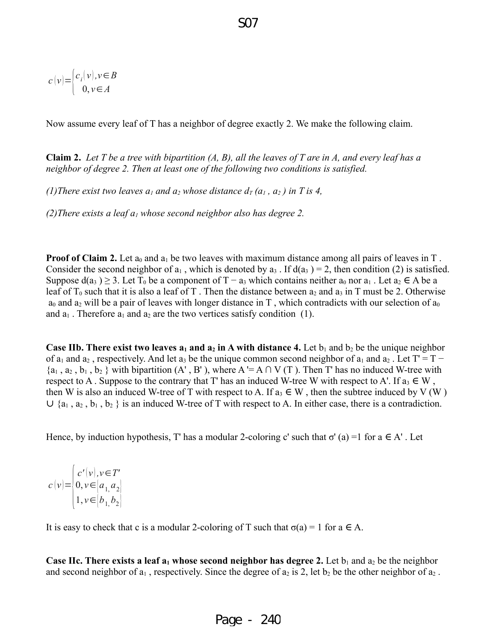$$
f_{\rm{max}}
$$

$$
c(v) = \begin{cases} c_i(v), v \in B \\ 0, v \in A \end{cases}
$$

Now assume every leaf of T has a neighbor of degree exactly 2. We make the following claim.

S07

**Claim 2.** *Let T be a tree with bipartition (A, B), all the leaves of T are in A, and every leaf has a neighbor of degree 2. Then at least one of the following two conditions is satisfied.*

*(1)There exist two leaves*  $a_1$  *and*  $a_2$  *whose distance*  $d_T(a_1, a_2)$  *in T is 4,* 

*(2)There exists a leaf a1 whose second neighbor also has degree 2.*

**Proof of Claim 2.** Let  $a_0$  and  $a_1$  be two leaves with maximum distance among all pairs of leaves in T. Consider the second neighbor of  $a_1$ , which is denoted by  $a_3$ . If  $d(a_3) = 2$ , then condition (2) is satisfied. Suppose  $d(a_3) \geq 3$ . Let T<sub>0</sub> be a component of T – a<sub>3</sub> which contains neither a<sub>0</sub> nor a<sub>1</sub>. Let a<sub>2</sub>  $\in$  A be a leaf of  $T_0$  such that it is also a leaf of T. Then the distance between  $a_2$  and  $a_3$  in T must be 2. Otherwise  $a_0$  and  $a_2$  will be a pair of leaves with longer distance in T, which contradicts with our selection of  $a_0$ and  $a_1$ . Therefore  $a_1$  and  $a_2$  are the two vertices satisfy condition (1).

**Case IIb. There exist two leaves**  $a_1$  **and**  $a_2$  **in A with distance 4. Let**  $b_1$  **and**  $b_2$  **be the unique neighbor** of  $a_1$  and  $a_2$ , respectively. And let  $a_3$  be the unique common second neighbor of  $a_1$  and  $a_2$ . Let T' = T –  $\{a_1, a_2, b_1, b_2\}$  with bipartition  $(A', B')$ , where  $A' = A \cap V(T)$ . Then T' has no induced W-tree with respect to A . Suppose to the contrary that T' has an induced W-tree W with respect to A'. If  $a_3 \in W$ , then W is also an induced W-tree of T with respect to A. If  $a_3 \in W$ , then the subtree induced by V (W)  $\cup$  {a<sub>1</sub>, a<sub>2</sub>, b<sub>1</sub>, b<sub>2</sub> } is an induced W-tree of T with respect to A. In either case, there is a contradiction.

Hence, by induction hypothesis, T' has a modular 2-coloring c' such that  $\sigma'(a) = 1$  for  $a \in A'$ . Let

 $c(v) =$  $\vert_{1}$  $c'(\nu), \nu \in T'$ 0, *v*∈ $|a_1, a_2|$  $1, v \in [b_1, b_2]$ 

It is easy to check that c is a modular 2-coloring of T such that  $\sigma(a) = 1$  for  $a \in A$ .

**Case IIc. There exists a leaf**  $a_1$  **whose second neighbor has degree 2. Let**  $b_1$  **and**  $a_2$  **be the neighbor** and second neighbor of  $a_1$ , respectively. Since the degree of  $a_2$  is 2, let  $b_2$  be the other neighbor of  $a_2$ .